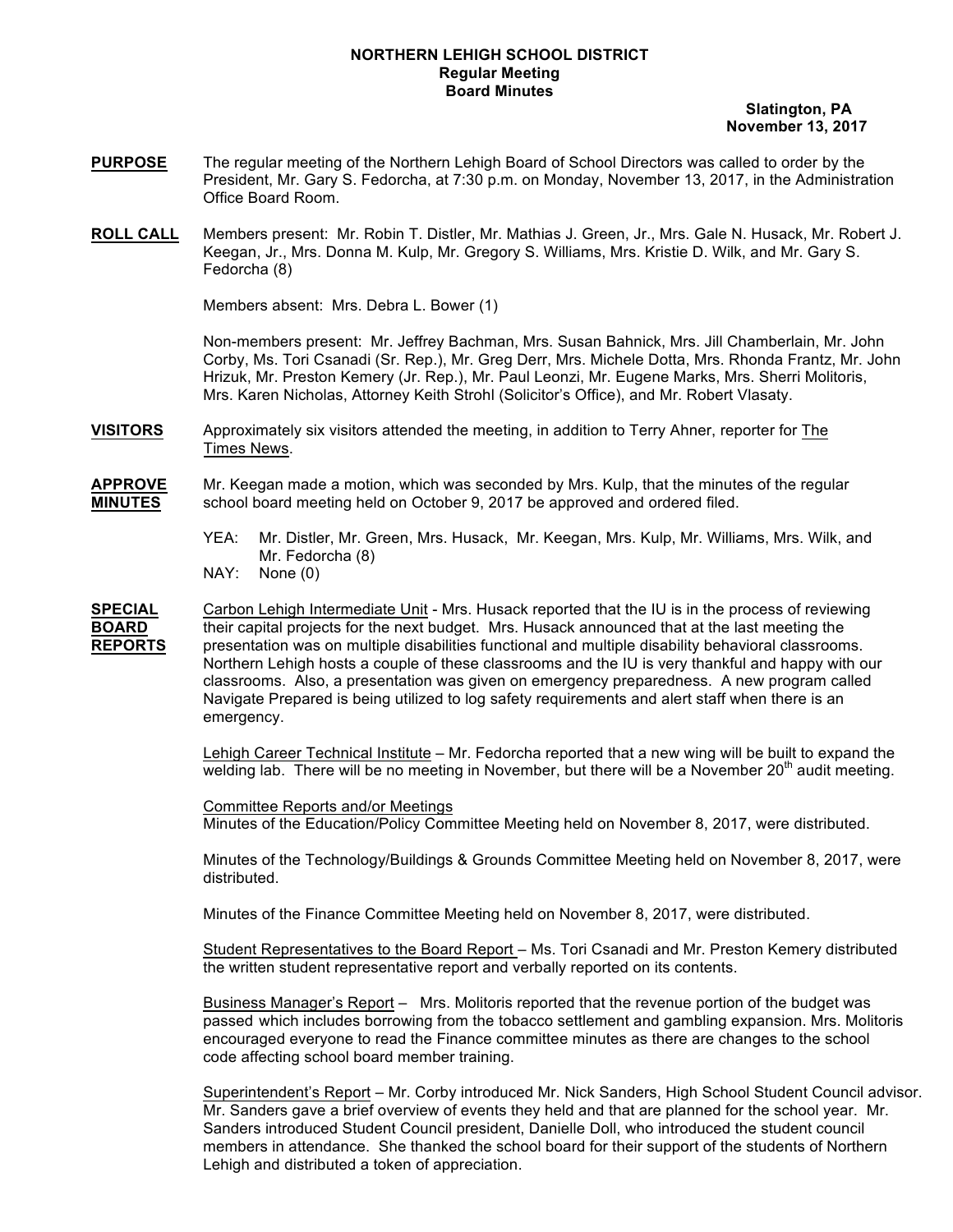## **NORTHERN LEHIGH SCHOOL DISTRICT Regular Meeting Board Minutes**

 **Slatington, PA November 13, 2017**

- **PURPOSE** The regular meeting of the Northern Lehigh Board of School Directors was called to order by the President, Mr. Gary S. Fedorcha, at 7:30 p.m. on Monday, November 13, 2017, in the Administration Office Board Room.
- **ROLL CALL** Members present: Mr. Robin T. Distler, Mr. Mathias J. Green, Jr., Mrs. Gale N. Husack, Mr. Robert J. Keegan, Jr., Mrs. Donna M. Kulp, Mr. Gregory S. Williams, Mrs. Kristie D. Wilk, and Mr. Gary S. Fedorcha (8)

Members absent: Mrs. Debra L. Bower (1)

Non-members present: Mr. Jeffrey Bachman, Mrs. Susan Bahnick, Mrs. Jill Chamberlain, Mr. John Corby, Ms. Tori Csanadi (Sr. Rep.), Mr. Greg Derr, Mrs. Michele Dotta, Mrs. Rhonda Frantz, Mr. John Hrizuk, Mr. Preston Kemery (Jr. Rep.), Mr. Paul Leonzi, Mr. Eugene Marks, Mrs. Sherri Molitoris, Mrs. Karen Nicholas, Attorney Keith Strohl (Solicitor's Office), and Mr. Robert Vlasaty.

**VISITORS** Approximately six visitors attended the meeting, in addition to Terry Ahner, reporter for The Times News.

**APPROVE** Mr. Keegan made a motion, which was seconded by Mrs. Kulp, that the minutes of the regular **MINUTES** school board meeting held on October 9, 2017 be approved and ordered filed.

- YEA: Mr. Distler, Mr. Green, Mrs. Husack, Mr. Keegan, Mrs. Kulp, Mr. Williams, Mrs. Wilk, and Mr. Fedorcha (8)
- NAY: None (0)

**SPECIAL** Carbon Lehigh Intermediate Unit - Mrs. Husack reported that the IU is in the process of reviewing **BOARD** their capital projects for the next budget. Mrs. Husack announced that at the last meeting the **REPORTS** presentation was on multiple disabilities functional and multiple disability behavioral classrooms. Northern Lehigh hosts a couple of these classrooms and the IU is very thankful and happy with our classrooms. Also, a presentation was given on emergency preparedness. A new program called Navigate Prepared is being utilized to log safety requirements and alert staff when there is an emergency.

> Lehigh Career Technical Institute – Mr. Fedorcha reported that a new wing will be built to expand the welding lab. There will be no meeting in November, but there will be a November  $20<sup>th</sup>$  audit meeting.

Committee Reports and/or Meetings Minutes of the Education/Policy Committee Meeting held on November 8, 2017, were distributed.

Minutes of the Technology/Buildings & Grounds Committee Meeting held on November 8, 2017, were distributed.

Minutes of the Finance Committee Meeting held on November 8, 2017, were distributed.

Student Representatives to the Board Report – Ms. Tori Csanadi and Mr. Preston Kemery distributed the written student representative report and verbally reported on its contents.

Business Manager's Report – Mrs. Molitoris reported that the revenue portion of the budget was passed which includes borrowing from the tobacco settlement and gambling expansion. Mrs. Molitoris encouraged everyone to read the Finance committee minutes as there are changes to the school code affecting school board member training.

Superintendent's Report – Mr. Corby introduced Mr. Nick Sanders, High School Student Council advisor. Mr. Sanders gave a brief overview of events they held and that are planned for the school year. Mr. Sanders introduced Student Council president, Danielle Doll, who introduced the student council members in attendance. She thanked the school board for their support of the students of Northern Lehigh and distributed a token of appreciation.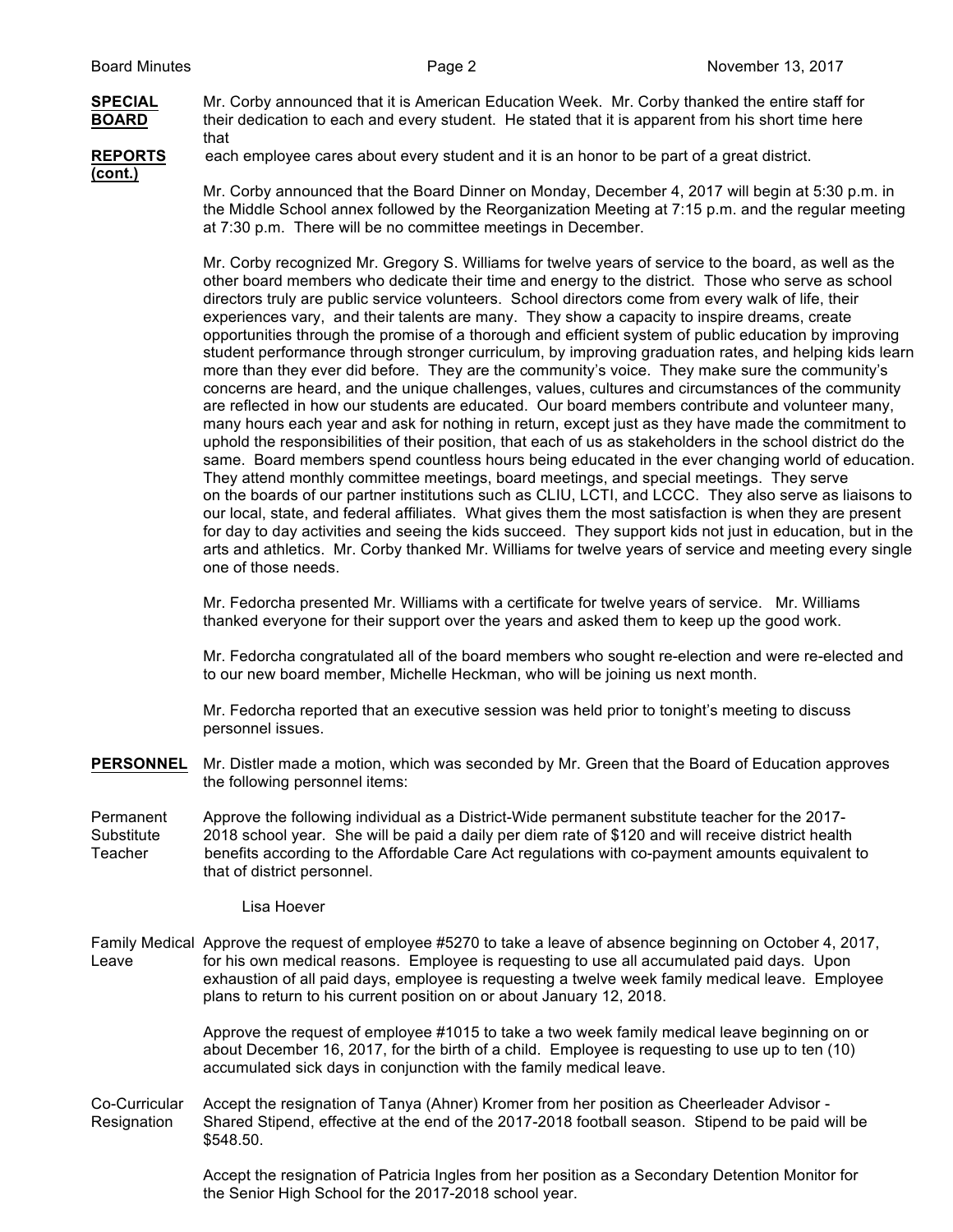

**SPECIAL** Mr. Corby announced that it is American Education Week. Mr. Corby thanked the entire staff for **BOARD** their dedication to each and every student. He stated that it is apparent from his short time here that

**(cont.)**

**REPORTS** each employee cares about every student and it is an honor to be part of a great district.

Mr. Corby announced that the Board Dinner on Monday, December 4, 2017 will begin at 5:30 p.m. in the Middle School annex followed by the Reorganization Meeting at 7:15 p.m. and the regular meeting at 7:30 p.m. There will be no committee meetings in December.

Mr. Corby recognized Mr. Gregory S. Williams for twelve years of service to the board, as well as the other board members who dedicate their time and energy to the district. Those who serve as school directors truly are public service volunteers. School directors come from every walk of life, their experiences vary, and their talents are many. They show a capacity to inspire dreams, create opportunities through the promise of a thorough and efficient system of public education by improving student performance through stronger curriculum, by improving graduation rates, and helping kids learn more than they ever did before. They are the community's voice. They make sure the community's concerns are heard, and the unique challenges, values, cultures and circumstances of the community are reflected in how our students are educated. Our board members contribute and volunteer many, many hours each year and ask for nothing in return, except just as they have made the commitment to uphold the responsibilities of their position, that each of us as stakeholders in the school district do the same. Board members spend countless hours being educated in the ever changing world of education. They attend monthly committee meetings, board meetings, and special meetings. They serve on the boards of our partner institutions such as CLIU, LCTI, and LCCC. They also serve as liaisons to our local, state, and federal affiliates. What gives them the most satisfaction is when they are present for day to day activities and seeing the kids succeed. They support kids not just in education, but in the arts and athletics. Mr. Corby thanked Mr. Williams for twelve years of service and meeting every single one of those needs.

Mr. Fedorcha presented Mr. Williams with a certificate for twelve years of service. Mr. Williams thanked everyone for their support over the years and asked them to keep up the good work.

Mr. Fedorcha congratulated all of the board members who sought re-election and were re-elected and to our new board member, Michelle Heckman, who will be joining us next month.

Mr. Fedorcha reported that an executive session was held prior to tonight's meeting to discuss personnel issues.

**PERSONNEL** Mr. Distler made a motion, which was seconded by Mr. Green that the Board of Education approves the following personnel items:

Permanent Approve the following individual as a District-Wide permanent substitute teacher for the 2017- Substitute 2018 school year. She will be paid a daily per diem rate of \$120 and will receive district health Teacher benefits according to the Affordable Care Act regulations with co-payment amounts equivalent to that of district personnel.

Lisa Hoever

Family Medical Approve the request of employee #5270 to take a leave of absence beginning on October 4, 2017, Leave for his own medical reasons. Employee is requesting to use all accumulated paid days. Upon exhaustion of all paid days, employee is requesting a twelve week family medical leave. Employee plans to return to his current position on or about January 12, 2018.

> Approve the request of employee #1015 to take a two week family medical leave beginning on or about December 16, 2017, for the birth of a child. Employee is requesting to use up to ten (10) accumulated sick days in conjunction with the family medical leave.

Co-Curricular Accept the resignation of Tanya (Ahner) Kromer from her position as Cheerleader Advisor - Resignation Shared Stipend, effective at the end of the 2017-2018 football season. Stipend to be paid will be \$548.50.

> Accept the resignation of Patricia Ingles from her position as a Secondary Detention Monitor for the Senior High School for the 2017-2018 school year.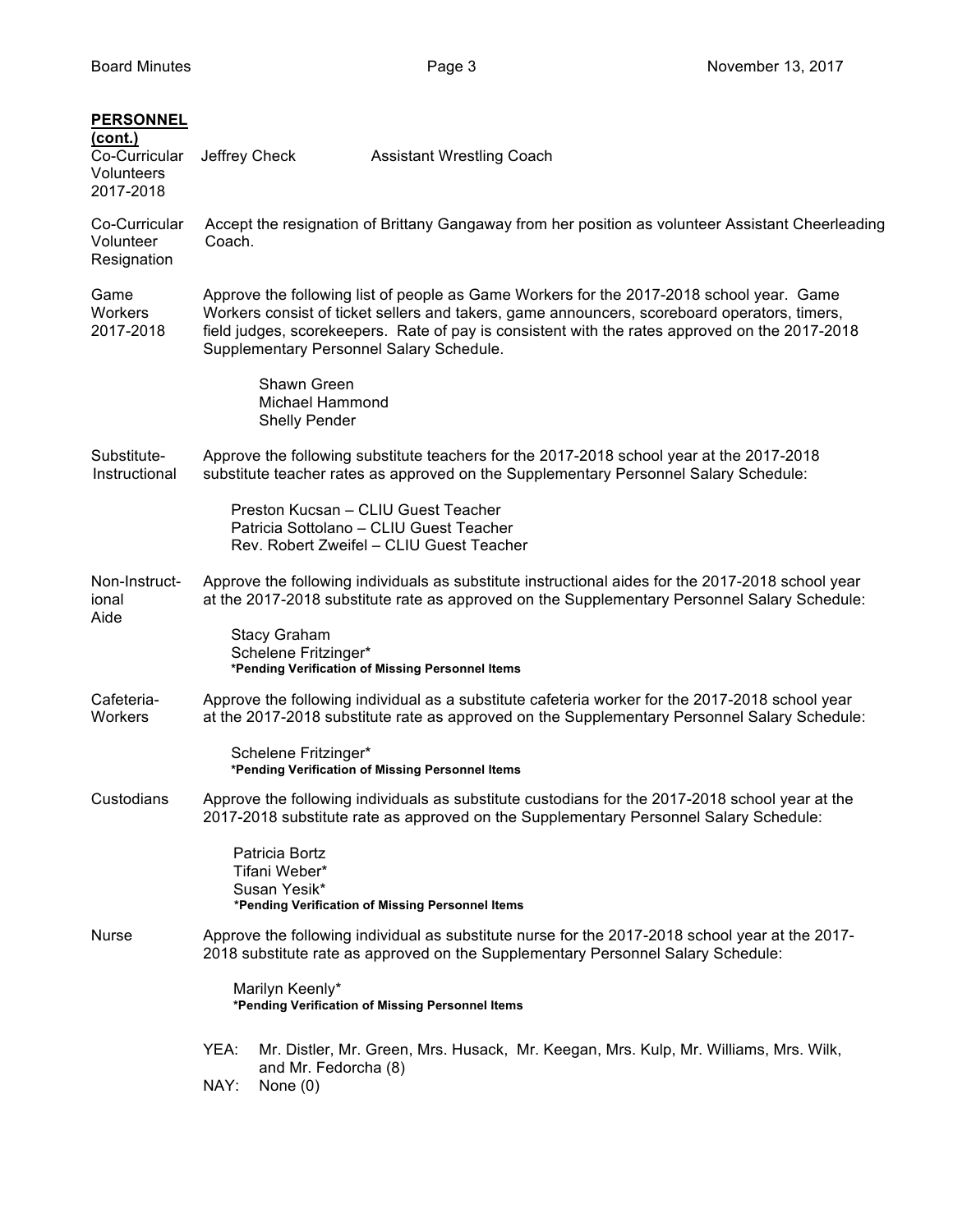| <b>PERSONNEL</b><br>(cont.)<br>Co-Curricular<br>Volunteers<br>2017-2018 | Jeffrey Check                                                                                                                                                                                                                                                                                                                          | <b>Assistant Wrestling Coach</b>                                                                                                                                                                  |  |  |  |
|-------------------------------------------------------------------------|----------------------------------------------------------------------------------------------------------------------------------------------------------------------------------------------------------------------------------------------------------------------------------------------------------------------------------------|---------------------------------------------------------------------------------------------------------------------------------------------------------------------------------------------------|--|--|--|
| Co-Curricular<br>Volunteer<br>Resignation                               | Accept the resignation of Brittany Gangaway from her position as volunteer Assistant Cheerleading<br>Coach.                                                                                                                                                                                                                            |                                                                                                                                                                                                   |  |  |  |
| Game<br>Workers<br>2017-2018                                            | Approve the following list of people as Game Workers for the 2017-2018 school year. Game<br>Workers consist of ticket sellers and takers, game announcers, scoreboard operators, timers,<br>field judges, scorekeepers. Rate of pay is consistent with the rates approved on the 2017-2018<br>Supplementary Personnel Salary Schedule. |                                                                                                                                                                                                   |  |  |  |
|                                                                         | Shawn Green<br><b>Michael Hammond</b><br><b>Shelly Pender</b>                                                                                                                                                                                                                                                                          |                                                                                                                                                                                                   |  |  |  |
| Substitute-<br>Instructional                                            |                                                                                                                                                                                                                                                                                                                                        | Approve the following substitute teachers for the 2017-2018 school year at the 2017-2018<br>substitute teacher rates as approved on the Supplementary Personnel Salary Schedule:                  |  |  |  |
|                                                                         |                                                                                                                                                                                                                                                                                                                                        | Preston Kucsan - CLIU Guest Teacher<br>Patricia Sottolano - CLIU Guest Teacher<br>Rev. Robert Zweifel - CLIU Guest Teacher                                                                        |  |  |  |
| Non-Instruct-<br>ional<br>Aide                                          |                                                                                                                                                                                                                                                                                                                                        | Approve the following individuals as substitute instructional aides for the 2017-2018 school year<br>at the 2017-2018 substitute rate as approved on the Supplementary Personnel Salary Schedule: |  |  |  |
|                                                                         | <b>Stacy Graham</b><br>Schelene Fritzinger*                                                                                                                                                                                                                                                                                            | *Pending Verification of Missing Personnel Items                                                                                                                                                  |  |  |  |
| Cafeteria-<br>Workers                                                   |                                                                                                                                                                                                                                                                                                                                        | Approve the following individual as a substitute cafeteria worker for the 2017-2018 school year<br>at the 2017-2018 substitute rate as approved on the Supplementary Personnel Salary Schedule:   |  |  |  |
|                                                                         | Schelene Fritzinger*                                                                                                                                                                                                                                                                                                                   | *Pending Verification of Missing Personnel Items                                                                                                                                                  |  |  |  |
| Custodians                                                              |                                                                                                                                                                                                                                                                                                                                        | Approve the following individuals as substitute custodians for the 2017-2018 school year at the<br>2017-2018 substitute rate as approved on the Supplementary Personnel Salary Schedule:          |  |  |  |
|                                                                         | Patricia Bortz<br>Tifani Weber*<br>Susan Yesik*                                                                                                                                                                                                                                                                                        | *Pending Verification of Missing Personnel Items                                                                                                                                                  |  |  |  |
| Nurse                                                                   | Approve the following individual as substitute nurse for the 2017-2018 school year at the 2017-<br>2018 substitute rate as approved on the Supplementary Personnel Salary Schedule:                                                                                                                                                    |                                                                                                                                                                                                   |  |  |  |
|                                                                         | Marilyn Keenly*<br>*Pending Verification of Missing Personnel Items                                                                                                                                                                                                                                                                    |                                                                                                                                                                                                   |  |  |  |
|                                                                         | YEA:<br>and Mr. Fedorcha (8)<br>NAY:<br>None $(0)$                                                                                                                                                                                                                                                                                     | Mr. Distler, Mr. Green, Mrs. Husack, Mr. Keegan, Mrs. Kulp, Mr. Williams, Mrs. Wilk,                                                                                                              |  |  |  |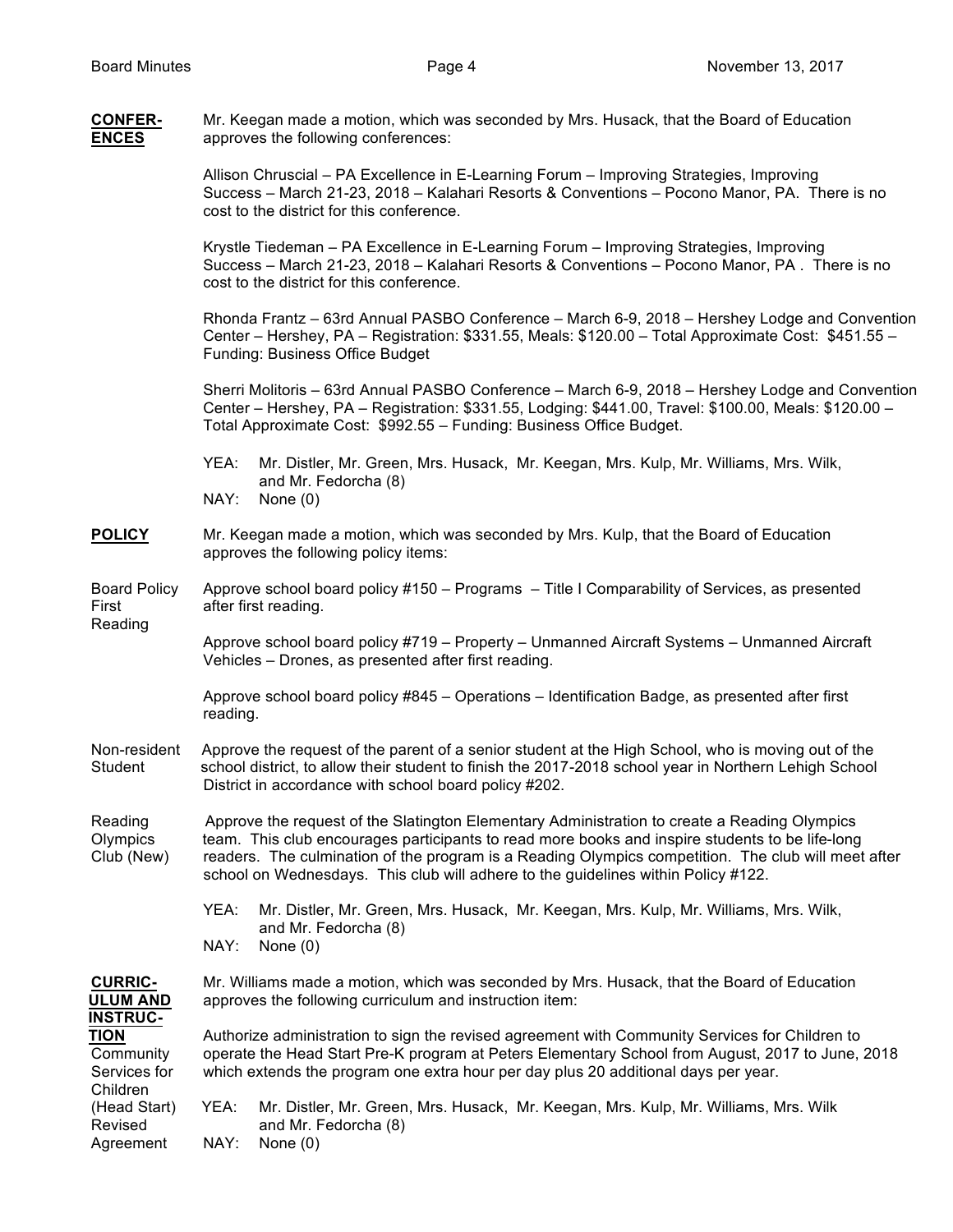| <b>CONFER-</b><br><b>ENCES</b>                       | Mr. Keegan made a motion, which was seconded by Mrs. Husack, that the Board of Education<br>approves the following conferences:                                                                                                                                                                                                                                                             |  |  |  |  |  |
|------------------------------------------------------|---------------------------------------------------------------------------------------------------------------------------------------------------------------------------------------------------------------------------------------------------------------------------------------------------------------------------------------------------------------------------------------------|--|--|--|--|--|
|                                                      | Allison Chruscial - PA Excellence in E-Learning Forum - Improving Strategies, Improving<br>Success - March 21-23, 2018 - Kalahari Resorts & Conventions - Pocono Manor, PA. There is no<br>cost to the district for this conference.                                                                                                                                                        |  |  |  |  |  |
|                                                      | Krystle Tiedeman - PA Excellence in E-Learning Forum - Improving Strategies, Improving<br>Success - March 21-23, 2018 - Kalahari Resorts & Conventions - Pocono Manor, PA. There is no<br>cost to the district for this conference.                                                                                                                                                         |  |  |  |  |  |
|                                                      | Rhonda Frantz - 63rd Annual PASBO Conference - March 6-9, 2018 - Hershey Lodge and Convention<br>Center – Hershey, PA – Registration: \$331.55, Meals: \$120.00 – Total Approximate Cost: \$451.55 –<br><b>Funding: Business Office Budget</b>                                                                                                                                              |  |  |  |  |  |
|                                                      | Sherri Molitoris – 63rd Annual PASBO Conference – March 6-9, 2018 – Hershey Lodge and Convention<br>Center - Hershey, PA - Registration: \$331.55, Lodging: \$441.00, Travel: \$100.00, Meals: \$120.00 -<br>Total Approximate Cost: \$992.55 - Funding: Business Office Budget.                                                                                                            |  |  |  |  |  |
|                                                      | Mr. Distler, Mr. Green, Mrs. Husack, Mr. Keegan, Mrs. Kulp, Mr. Williams, Mrs. Wilk,<br>YEA:<br>and Mr. Fedorcha (8)<br>NAY:<br>None $(0)$                                                                                                                                                                                                                                                  |  |  |  |  |  |
| <b>POLICY</b>                                        | Mr. Keegan made a motion, which was seconded by Mrs. Kulp, that the Board of Education<br>approves the following policy items:                                                                                                                                                                                                                                                              |  |  |  |  |  |
| <b>Board Policy</b><br>First                         | Approve school board policy #150 - Programs - Title I Comparability of Services, as presented<br>after first reading.                                                                                                                                                                                                                                                                       |  |  |  |  |  |
| Reading                                              | Approve school board policy #719 - Property - Unmanned Aircraft Systems - Unmanned Aircraft<br>Vehicles - Drones, as presented after first reading.                                                                                                                                                                                                                                         |  |  |  |  |  |
|                                                      | Approve school board policy #845 - Operations - Identification Badge, as presented after first<br>reading.                                                                                                                                                                                                                                                                                  |  |  |  |  |  |
| Non-resident<br>Student                              | Approve the request of the parent of a senior student at the High School, who is moving out of the<br>school district, to allow their student to finish the 2017-2018 school year in Northern Lehigh School<br>District in accordance with school board policy #202.                                                                                                                        |  |  |  |  |  |
| Reading<br>Olympics<br>Club (New)                    | Approve the request of the Slatington Elementary Administration to create a Reading Olympics<br>team. This club encourages participants to read more books and inspire students to be life-long<br>readers. The culmination of the program is a Reading Olympics competition. The club will meet after<br>school on Wednesdays. This club will adhere to the guidelines within Policy #122. |  |  |  |  |  |
|                                                      | Mr. Distler, Mr. Green, Mrs. Husack, Mr. Keegan, Mrs. Kulp, Mr. Williams, Mrs. Wilk,<br>YEA:<br>and Mr. Fedorcha (8)                                                                                                                                                                                                                                                                        |  |  |  |  |  |
|                                                      | NAY:<br>None $(0)$                                                                                                                                                                                                                                                                                                                                                                          |  |  |  |  |  |
| <b>CURRIC-</b><br><b>ULUM AND</b><br><b>INSTRUC-</b> | Mr. Williams made a motion, which was seconded by Mrs. Husack, that the Board of Education<br>approves the following curriculum and instruction item:                                                                                                                                                                                                                                       |  |  |  |  |  |
| <b>TION</b><br>Community<br>Services for<br>Children | Authorize administration to sign the revised agreement with Community Services for Children to<br>operate the Head Start Pre-K program at Peters Elementary School from August, 2017 to June, 2018<br>which extends the program one extra hour per day plus 20 additional days per year.                                                                                                    |  |  |  |  |  |
| (Head Start)<br>Revised<br>Agreement                 | Mr. Distler, Mr. Green, Mrs. Husack, Mr. Keegan, Mrs. Kulp, Mr. Williams, Mrs. Wilk<br>YEA:<br>and Mr. Fedorcha (8)<br>NAY:<br>None $(0)$                                                                                                                                                                                                                                                   |  |  |  |  |  |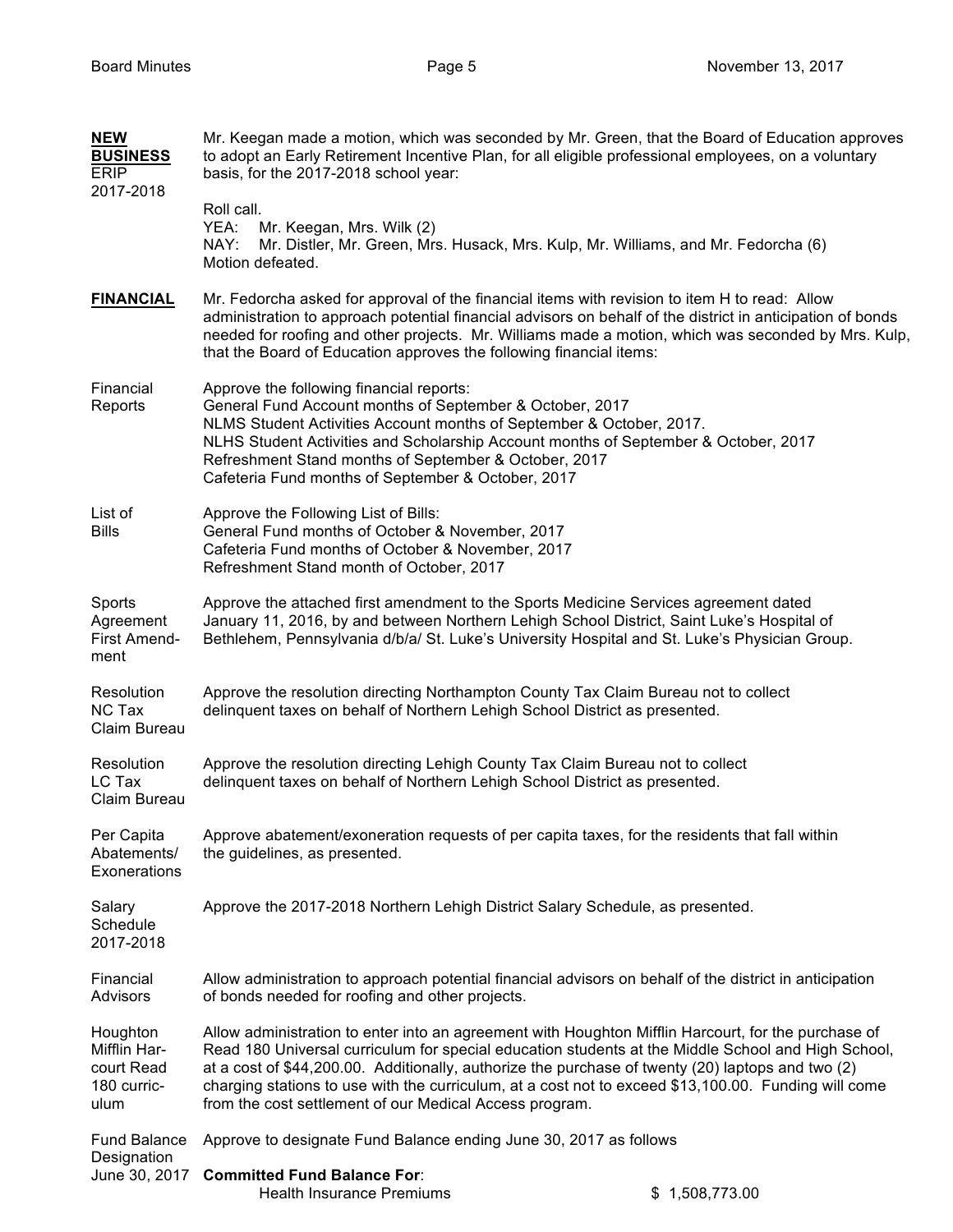| <b>NEW</b><br><b>BUSINESS</b><br><b>ERIP</b><br>2017-2018     | Mr. Keegan made a motion, which was seconded by Mr. Green, that the Board of Education approves<br>to adopt an Early Retirement Incentive Plan, for all eligible professional employees, on a voluntary<br>basis, for the 2017-2018 school year:<br>Roll call.                                                                                                                                                                                                                    |                                                                                                         |  |  |  |  |
|---------------------------------------------------------------|-----------------------------------------------------------------------------------------------------------------------------------------------------------------------------------------------------------------------------------------------------------------------------------------------------------------------------------------------------------------------------------------------------------------------------------------------------------------------------------|---------------------------------------------------------------------------------------------------------|--|--|--|--|
|                                                               | Mr. Keegan, Mrs. Wilk (2)<br>YEA:<br>NAY:<br>Motion defeated.                                                                                                                                                                                                                                                                                                                                                                                                                     | Mr. Distler, Mr. Green, Mrs. Husack, Mrs. Kulp, Mr. Williams, and Mr. Fedorcha (6)                      |  |  |  |  |
| <b>FINANCIAL</b>                                              | Mr. Fedorcha asked for approval of the financial items with revision to item H to read: Allow<br>administration to approach potential financial advisors on behalf of the district in anticipation of bonds<br>needed for roofing and other projects. Mr. Williams made a motion, which was seconded by Mrs. Kulp,<br>that the Board of Education approves the following financial items:                                                                                         |                                                                                                         |  |  |  |  |
| Financial<br>Reports                                          | Approve the following financial reports:<br>General Fund Account months of September & October, 2017<br>NLMS Student Activities Account months of September & October, 2017.<br>NLHS Student Activities and Scholarship Account months of September & October, 2017<br>Refreshment Stand months of September & October, 2017<br>Cafeteria Fund months of September & October, 2017                                                                                                |                                                                                                         |  |  |  |  |
| List of<br><b>Bills</b>                                       | Approve the Following List of Bills:<br>General Fund months of October & November, 2017<br>Cafeteria Fund months of October & November, 2017<br>Refreshment Stand month of October, 2017                                                                                                                                                                                                                                                                                          |                                                                                                         |  |  |  |  |
| Sports<br>Agreement<br>First Amend-<br>ment                   | Approve the attached first amendment to the Sports Medicine Services agreement dated<br>January 11, 2016, by and between Northern Lehigh School District, Saint Luke's Hospital of<br>Bethlehem, Pennsylvania d/b/a/ St. Luke's University Hospital and St. Luke's Physician Group.                                                                                                                                                                                               |                                                                                                         |  |  |  |  |
| Resolution<br>NC Tax<br>Claim Bureau                          | Approve the resolution directing Northampton County Tax Claim Bureau not to collect<br>delinquent taxes on behalf of Northern Lehigh School District as presented.                                                                                                                                                                                                                                                                                                                |                                                                                                         |  |  |  |  |
| Resolution<br>LC Tax<br>Claim Bureau                          | Approve the resolution directing Lehigh County Tax Claim Bureau not to collect<br>delinquent taxes on behalf of Northern Lehigh School District as presented.                                                                                                                                                                                                                                                                                                                     |                                                                                                         |  |  |  |  |
| Per Capita<br>Abatements/<br>Exonerations                     | the guidelines, as presented.                                                                                                                                                                                                                                                                                                                                                                                                                                                     | Approve abatement/exoneration requests of per capita taxes, for the residents that fall within          |  |  |  |  |
| Salary<br>Schedule<br>2017-2018                               | Approve the 2017-2018 Northern Lehigh District Salary Schedule, as presented.                                                                                                                                                                                                                                                                                                                                                                                                     |                                                                                                         |  |  |  |  |
| Financial<br>Advisors                                         | of bonds needed for roofing and other projects.                                                                                                                                                                                                                                                                                                                                                                                                                                   | Allow administration to approach potential financial advisors on behalf of the district in anticipation |  |  |  |  |
| Houghton<br>Mifflin Har-<br>court Read<br>180 curric-<br>ulum | Allow administration to enter into an agreement with Houghton Mifflin Harcourt, for the purchase of<br>Read 180 Universal curriculum for special education students at the Middle School and High School,<br>at a cost of \$44,200.00. Additionally, authorize the purchase of twenty (20) laptops and two (2)<br>charging stations to use with the curriculum, at a cost not to exceed \$13,100.00. Funding will come<br>from the cost settlement of our Medical Access program. |                                                                                                         |  |  |  |  |
| <b>Fund Balance</b><br>Designation                            | Approve to designate Fund Balance ending June 30, 2017 as follows                                                                                                                                                                                                                                                                                                                                                                                                                 |                                                                                                         |  |  |  |  |
| June 30, 2017                                                 | <b>Committed Fund Balance For:</b><br><b>Health Insurance Premiums</b>                                                                                                                                                                                                                                                                                                                                                                                                            | \$1,508,773.00                                                                                          |  |  |  |  |